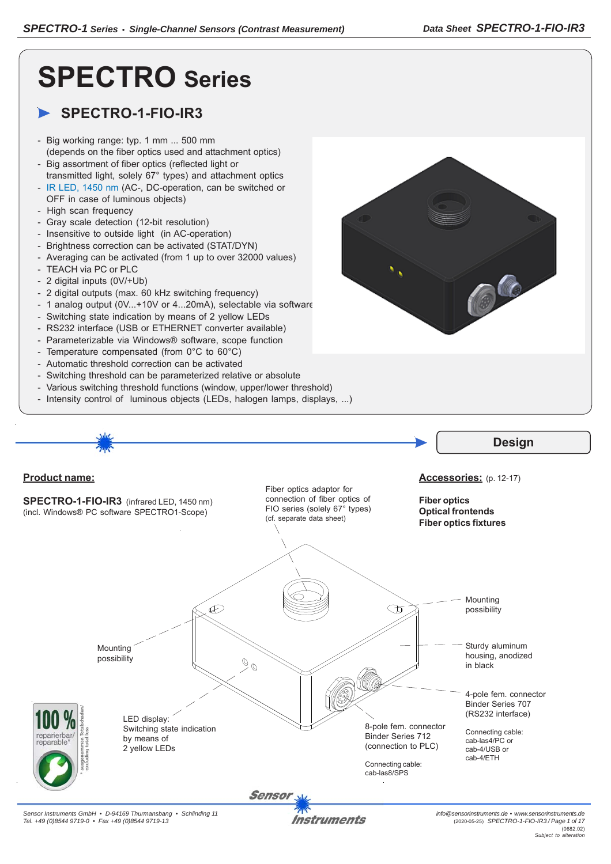# **SPECTRO Series**

## **SPECTRO-1-FIO-IR3**

- Big working range: typ. 1 mm ... 500 mm (depends on the fiber optics used and attachment optics)
- Big assortment of fiber optics (reflected light or transmitted light, solely 67° types) and attachment optics
- IR LED, 1450 nm (AC-, DC-operation, can be switched or OFF in case of luminous objects)
- High scan frequency
- Gray scale detection (12-bit resolution)
- Insensitive to outside light (in AC-operation)
- Brightness correction can be activated (STAT/DYN)
- Averaging can be activated (from 1 up to over 32000 values)
- TEACH via PC or PLC
- 2 digital inputs (0V/+Ub)
- 2 digital outputs (max. 60 kHz switching frequency)
- 1 analog output (0V...+10V or 4...20mA), selectable via software
- Switching state indication by means of 2 yellow LEDs
- RS232 interface (USB or ETHERNET converter available)
- Parameterizable via Windows® software, scope function
- Temperature compensated (from 0°C to 60°C)
- Automatic threshold correction can be activated
- Switching threshold can be parameterized relative or absolute
- Various switching threshold functions (window, upper/lower threshold)
- Intensity control of luminous objects (LEDs, halogen lamps, displays, ...)

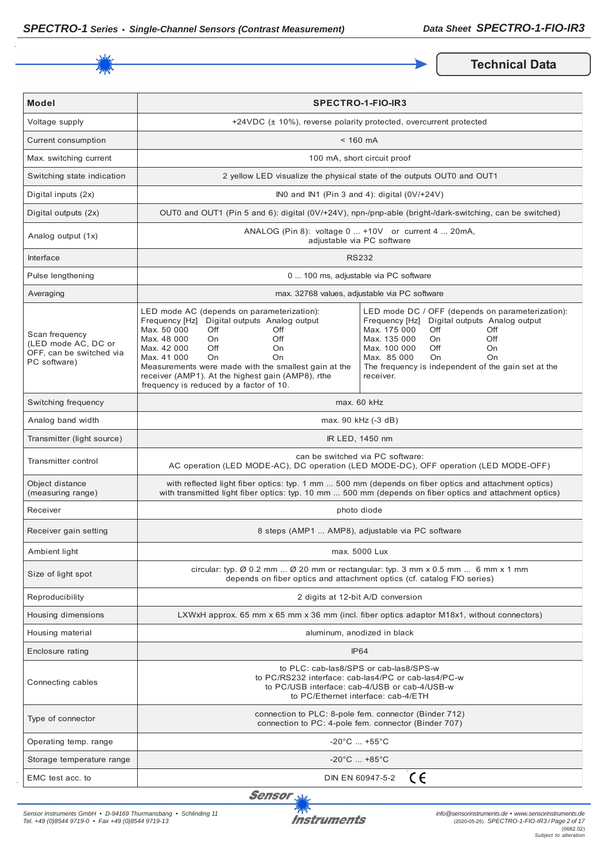

**Technical Data** 

| <b>Model</b>                                                                      | <b>SPECTRO-1-FIO-IR3</b>                                                                                                                                                                                                                                                                                                                                                  |                                                                                                                                                                                                                                                                                                    |  |
|-----------------------------------------------------------------------------------|---------------------------------------------------------------------------------------------------------------------------------------------------------------------------------------------------------------------------------------------------------------------------------------------------------------------------------------------------------------------------|----------------------------------------------------------------------------------------------------------------------------------------------------------------------------------------------------------------------------------------------------------------------------------------------------|--|
| Voltage supply                                                                    |                                                                                                                                                                                                                                                                                                                                                                           | +24VDC (± 10%), reverse polarity protected, overcurrent protected                                                                                                                                                                                                                                  |  |
| Current consumption                                                               |                                                                                                                                                                                                                                                                                                                                                                           | $< 160$ mA                                                                                                                                                                                                                                                                                         |  |
| Max. switching current                                                            |                                                                                                                                                                                                                                                                                                                                                                           | 100 mA, short circuit proof                                                                                                                                                                                                                                                                        |  |
| Switching state indication                                                        |                                                                                                                                                                                                                                                                                                                                                                           | 2 yellow LED visualize the physical state of the outputs OUT0 and OUT1                                                                                                                                                                                                                             |  |
| Digital inputs (2x)                                                               |                                                                                                                                                                                                                                                                                                                                                                           | INO and IN1 (Pin 3 and 4): digital $(0 \vee 1 + 24 \vee)$                                                                                                                                                                                                                                          |  |
| Digital outputs (2x)                                                              |                                                                                                                                                                                                                                                                                                                                                                           | OUT0 and OUT1 (Pin 5 and 6): digital (0V/+24V), npn-/pnp-able (bright-/dark-switching, can be switched)                                                                                                                                                                                            |  |
| Analog output (1x)                                                                | ANALOG (Pin 8): voltage 0  +10V or current 4  20mA,<br>adjustable via PC software                                                                                                                                                                                                                                                                                         |                                                                                                                                                                                                                                                                                                    |  |
| Interface                                                                         |                                                                                                                                                                                                                                                                                                                                                                           | <b>RS232</b>                                                                                                                                                                                                                                                                                       |  |
| Pulse lengthening                                                                 |                                                                                                                                                                                                                                                                                                                                                                           | 0  100 ms, adjustable via PC software                                                                                                                                                                                                                                                              |  |
| Averaging                                                                         |                                                                                                                                                                                                                                                                                                                                                                           | max. 32768 values, adjustable via PC software                                                                                                                                                                                                                                                      |  |
| Scan frequency<br>(LED mode AC, DC or<br>OFF, can be switched via<br>PC software) | LED mode AC (depends on parameterization):<br>Frequency [Hz] Digital outputs Analog output<br>Max. 50 000<br>Off<br>Off<br>Max. 48 000<br>Off<br>On<br>Max. 42 000<br>Off<br>On<br>Max. 41 000<br><b>On</b><br>On<br>Measurements were made with the smallest gain at the<br>receiver (AMP1). At the highest gain (AMP8), rthe<br>frequency is reduced by a factor of 10. | LED mode DC / OFF (depends on parameterization):<br>Digital outputs Analog output<br>Frequency [Hz]<br>Max. 175 000<br>Off<br>Off<br>Max. 135 000<br>Off<br>On.<br>Max. 100 000<br>Off<br>On<br>Max. 85 000<br>On<br><b>On</b><br>The frequency is independent of the gain set at the<br>receiver. |  |
| Switching frequency                                                               | max. 60 kHz                                                                                                                                                                                                                                                                                                                                                               |                                                                                                                                                                                                                                                                                                    |  |
| Analog band width                                                                 | max. 90 kHz (-3 dB)                                                                                                                                                                                                                                                                                                                                                       |                                                                                                                                                                                                                                                                                                    |  |
| Transmitter (light source)                                                        | IR LED, 1450 nm                                                                                                                                                                                                                                                                                                                                                           |                                                                                                                                                                                                                                                                                                    |  |
| Transmitter control                                                               | can be switched via PC software:<br>AC operation (LED MODE-AC), DC operation (LED MODE-DC), OFF operation (LED MODE-OFF)                                                                                                                                                                                                                                                  |                                                                                                                                                                                                                                                                                                    |  |
| Object distance<br>(measuring range)                                              | with reflected light fiber optics: typ. 1 mm  500 mm (depends on fiber optics and attachment optics)<br>with transmitted light fiber optics: typ. 10 mm  500 mm (depends on fiber optics and attachment optics)                                                                                                                                                           |                                                                                                                                                                                                                                                                                                    |  |
| Receiver                                                                          | photo diode                                                                                                                                                                                                                                                                                                                                                               |                                                                                                                                                                                                                                                                                                    |  |
| Receiver gain setting                                                             | 8 steps (AMP1  AMP8), adjustable via PC software                                                                                                                                                                                                                                                                                                                          |                                                                                                                                                                                                                                                                                                    |  |
| Ambient light                                                                     | max. 5000 Lux                                                                                                                                                                                                                                                                                                                                                             |                                                                                                                                                                                                                                                                                                    |  |
| Size of light spot                                                                | circular: typ. $\emptyset$ 0.2 mm $\emptyset$ 20 mm or rectangular: typ. 3 mm x 0.5 mm  6 mm x 1 mm<br>depends on fiber optics and attachment optics (cf. catalog FIO series)                                                                                                                                                                                             |                                                                                                                                                                                                                                                                                                    |  |
| Reproducibility                                                                   | 2 digits at 12-bit A/D conversion                                                                                                                                                                                                                                                                                                                                         |                                                                                                                                                                                                                                                                                                    |  |
| Housing dimensions                                                                | LXWxH approx. 65 mm x 65 mm x 36 mm (incl. fiber optics adaptor M18x1, without connectors)                                                                                                                                                                                                                                                                                |                                                                                                                                                                                                                                                                                                    |  |
| Housing material                                                                  | aluminum, anodized in black                                                                                                                                                                                                                                                                                                                                               |                                                                                                                                                                                                                                                                                                    |  |
| Enclosure rating                                                                  | <b>IP64</b>                                                                                                                                                                                                                                                                                                                                                               |                                                                                                                                                                                                                                                                                                    |  |
| Connecting cables                                                                 | to PLC: cab-las8/SPS or cab-las8/SPS-w<br>to PC/RS232 interface: cab-las4/PC or cab-las4/PC-w<br>to PC/USB interface: cab-4/USB or cab-4/USB-w<br>to PC/Ethernet interface: cab-4/ETH                                                                                                                                                                                     |                                                                                                                                                                                                                                                                                                    |  |
| Type of connector                                                                 | connection to PLC: 8-pole fem. connector (Binder 712)<br>connection to PC: 4-pole fem. connector (Binder 707)                                                                                                                                                                                                                                                             |                                                                                                                                                                                                                                                                                                    |  |
| Operating temp. range                                                             | $-20^{\circ}$ C  +55 $^{\circ}$ C                                                                                                                                                                                                                                                                                                                                         |                                                                                                                                                                                                                                                                                                    |  |
| Storage temperature range                                                         | $-20^{\circ}$ C  +85 $^{\circ}$ C                                                                                                                                                                                                                                                                                                                                         |                                                                                                                                                                                                                                                                                                    |  |
| EMC test acc. to                                                                  | CE<br>DIN EN 60947-5-2                                                                                                                                                                                                                                                                                                                                                    |                                                                                                                                                                                                                                                                                                    |  |

Sensor<sub>N</sub>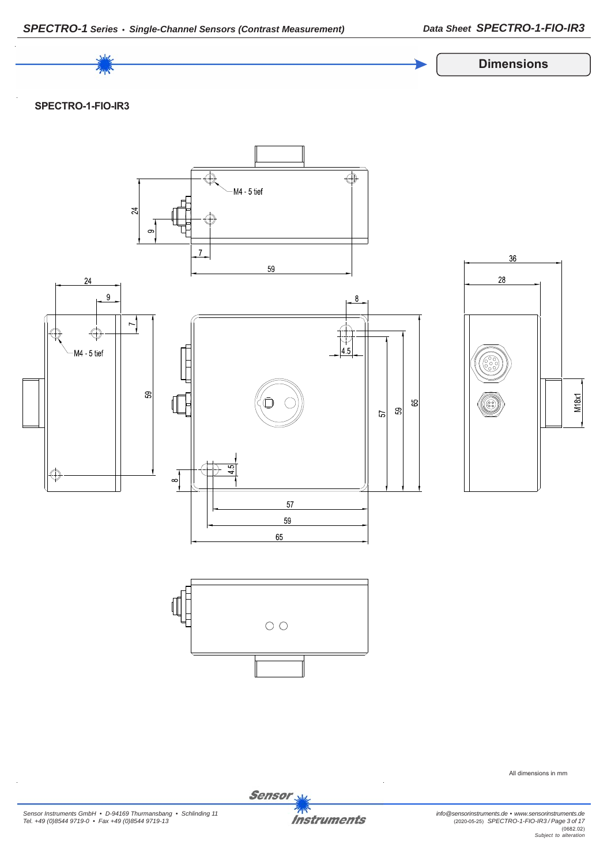

*Sensor Instruments GmbH • D-94169 Thurmansbang • Schlinding 11 Tel. +49 (0)8544 9719-0 • Fax +49 (0)8544 9719-13*

**Instruments** 

Sensor<sub>s</sub>

*info@sensorinstruments.de • www.sensorinstruments.de* (2020-05-25) *SPECTRO-1-FIO-IR3 / Page 3 of 17* (0682.02) *Subject to alteration*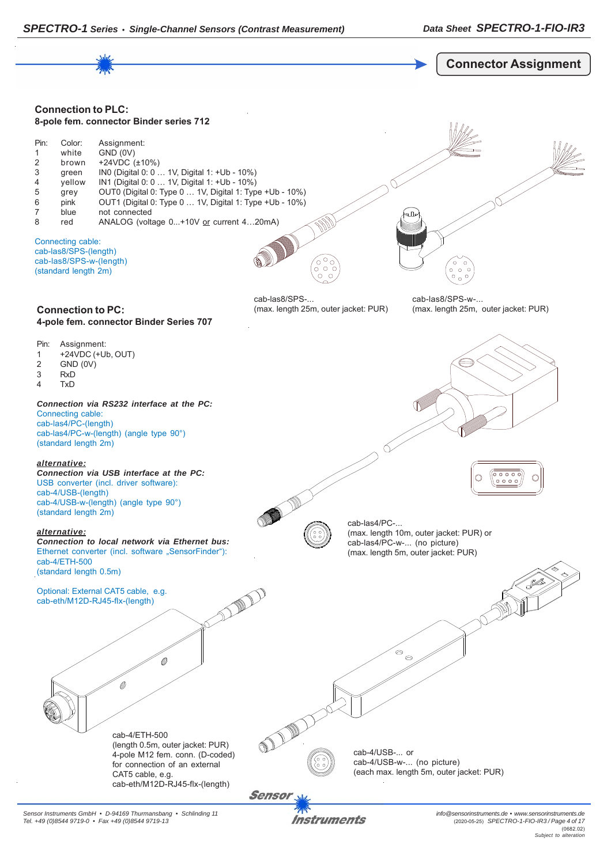

Instruments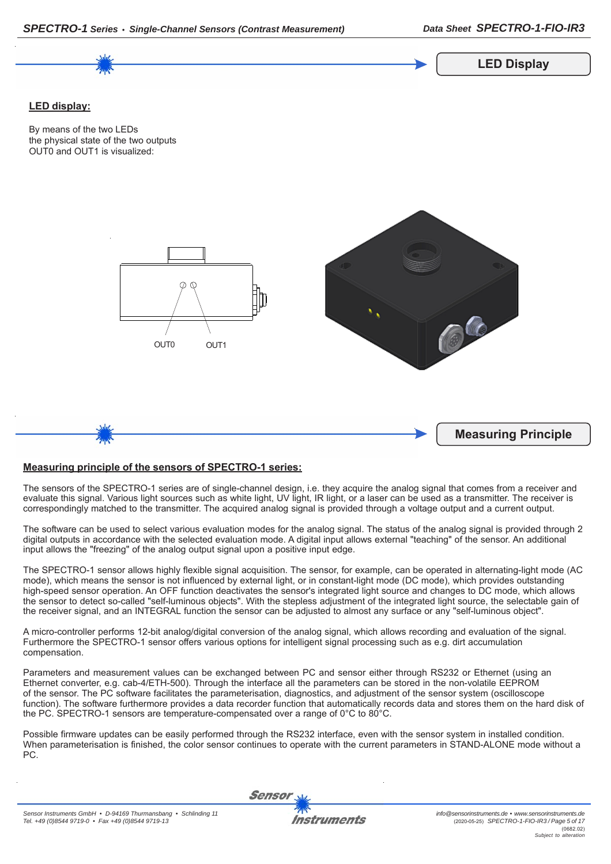

## **Measuring principle of the sensors of SPECTRO-1 series:**

*SPECTRO-1 Series • Single-Channel Sensors (Contrast Measurement)*

The sensors of the SPECTRO-1 series are of single-channel design, i.e. they acquire the analog signal that comes from a receiver and evaluate this signal. Various light sources such as white light, UV light, IR light, or a laser can be used as a transmitter. The receiver is correspondingly matched to the transmitter. The acquired analog signal is provided through a voltage output and a current output.

The software can be used to select various evaluation modes for the analog signal. The status of the analog signal is provided through 2 digital outputs in accordance with the selected evaluation mode. A digital input allows external "teaching" of the sensor. An additional input allows the "freezing" of the analog output signal upon a positive input edge.

The SPECTRO-1 sensor allows highly flexible signal acquisition. The sensor, for example, can be operated in alternating-light mode (AC mode), which means the sensor is not influenced by external light, or in constant-light mode (DC mode), which provides outstanding high-speed sensor operation. An OFF function deactivates the sensor's integrated light source and changes to DC mode, which allows the sensor to detect so-called "self-luminous objects". With the stepless adjustment of the integrated light source, the selectable gain of the receiver signal, and an INTEGRAL function the sensor can be adjusted to almost any surface or any "self-luminous object".

A micro-controller performs 12-bit analog/digital conversion of the analog signal, which allows recording and evaluation of the signal. Furthermore the SPECTRO-1 sensor offers various options for intelligent signal processing such as e.g. dirt accumulation compensation.

Parameters and measurement values can be exchanged between PC and sensor either through RS232 or Ethernet (using an Ethernet converter, e.g. cab-4/ETH-500). Through the interface all the parameters can be stored in the non-volatile EEPROM of the sensor. The PC software facilitates the parameterisation, diagnostics, and adjustment of the sensor system (oscilloscope function). The software furthermore provides a data recorder function that automatically records data and stores them on the hard disk of the PC. SPECTRO-1 sensors are temperature-compensated over a range of 0°C to 80°C.

Possible firmware updates can be easily performed through the RS232 interface, even with the sensor system in installed condition. When parameterisation is finished, the color sensor continues to operate with the current parameters in STAND-ALONE mode without a PC.

Sensor

*Data Sheet SPECTRO-1-FIO-IR3*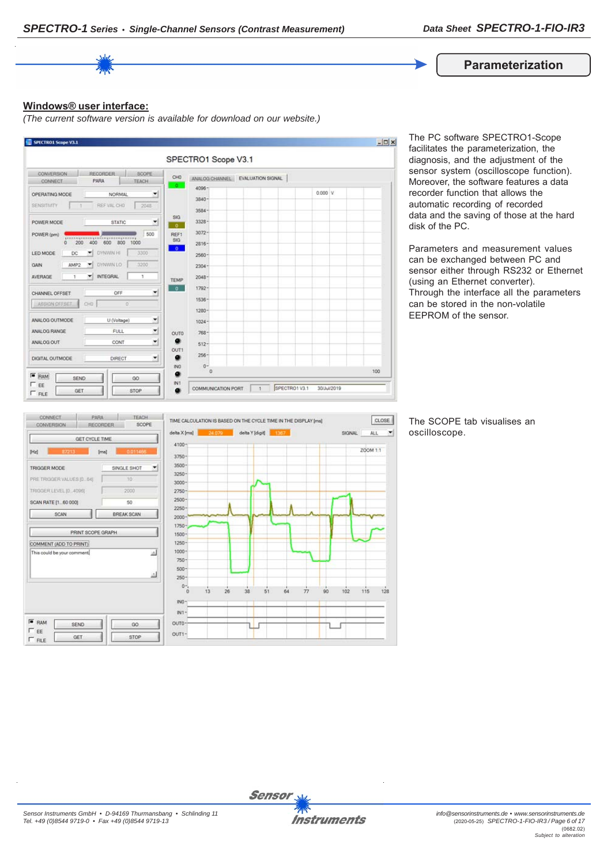

## **Windows® user interface:**

*(The current software version is available for download on our website.)*



The PC software SPECTRO1-Scope facilitates the parameterization, the diagnosis, and the adjustment of the sensor system (oscilloscope function). Moreover, the software features a data recorder function that allows the automatic recording of recorded data and the saving of those at the hard disk of the PC.

Parameters and measurement values can be exchanged between PC and sensor either through RS232 or Ethernet (using an Ethernet converter). Through the interface all the parameters can be stored in the non-volatile EEPROM of the sensor.



The SCOPE tab visualises an oscilloscope.

CLOSE

 $128$ 

 $\left| \cdot \right|$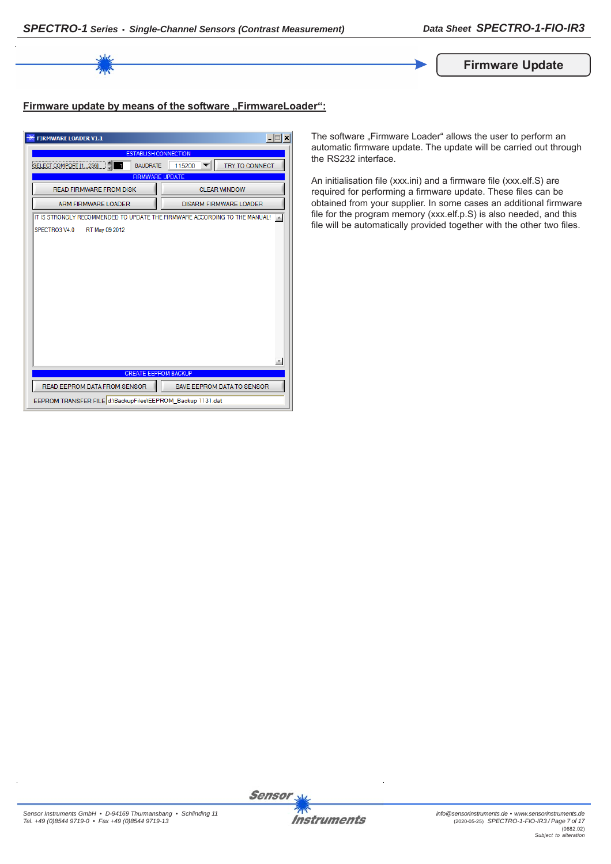

## Firmware update by means of the software "FirmwareLoader":

| <b>FIRMWARE LOADER V1.1</b>                                                | $ \Box$<br>×                    |  |
|----------------------------------------------------------------------------|---------------------------------|--|
| <b>ESTABLISH CONNECTION</b>                                                |                                 |  |
| <b>BAUDRATE</b><br>SELECT COMPORT [1256]                                   | <b>TRY TO CONNECT</b><br>115200 |  |
| <b>FIRMWARE UPDATE</b>                                                     |                                 |  |
| <b>READ FIRMWARE FROM DISK</b>                                             | <b>CLEAR WINDOW</b>             |  |
| <b>ARM FIRMWARE LOADER</b>                                                 | <b>DISARM FIRMWARE LOADER</b>   |  |
| IT IS STRONGLY RECOMMENDED TO UPDATE THE FIRMWARE ACCORDING TO THE MANUAL! |                                 |  |
| SPECTRO3 V4.0<br>RT May 09 2012                                            |                                 |  |
|                                                                            |                                 |  |
|                                                                            |                                 |  |
|                                                                            |                                 |  |
|                                                                            |                                 |  |
|                                                                            |                                 |  |
|                                                                            |                                 |  |
|                                                                            |                                 |  |
|                                                                            |                                 |  |
|                                                                            |                                 |  |
|                                                                            |                                 |  |
|                                                                            |                                 |  |
| <b>CREATE EEPROM BACKUP</b>                                                |                                 |  |
| READ EEPROM DATA FROM SENSOR                                               | SAVE EEPROM DATA TO SENSOR      |  |
| EEPROM TRANSFER FILE d:\BackupFiles\EEPROM_Backup 1131.dat                 |                                 |  |

The software "Firmware Loader" allows the user to perform an automatic firmware update. The update will be carried out through the RS232 interface.

An initialisation file (xxx.ini) and a firmware file (xxx.elf.S) are required for performing a firmware update. These files can be obtained from your supplier. In some cases an additional firmware file for the program memory (xxx.elf.p.S) is also needed, and this file will be automatically provided together with the other two files.

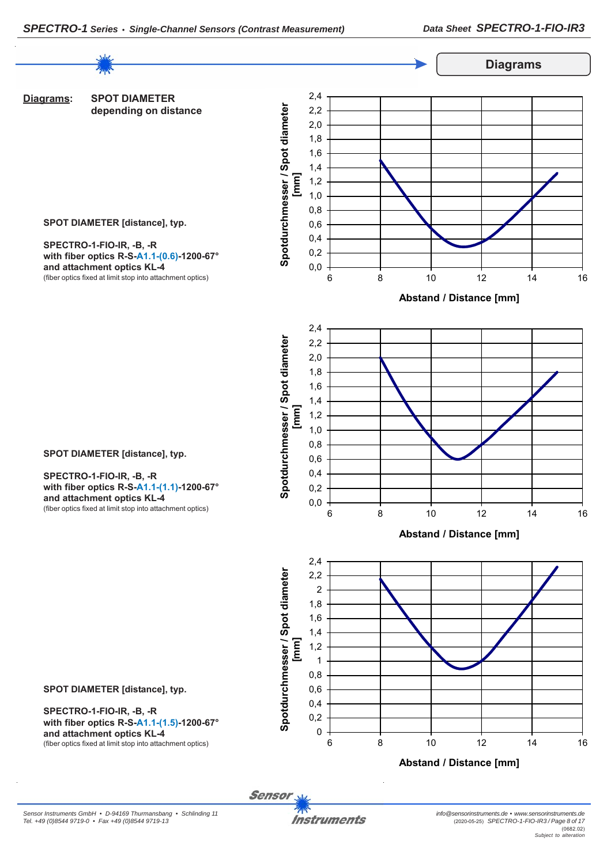

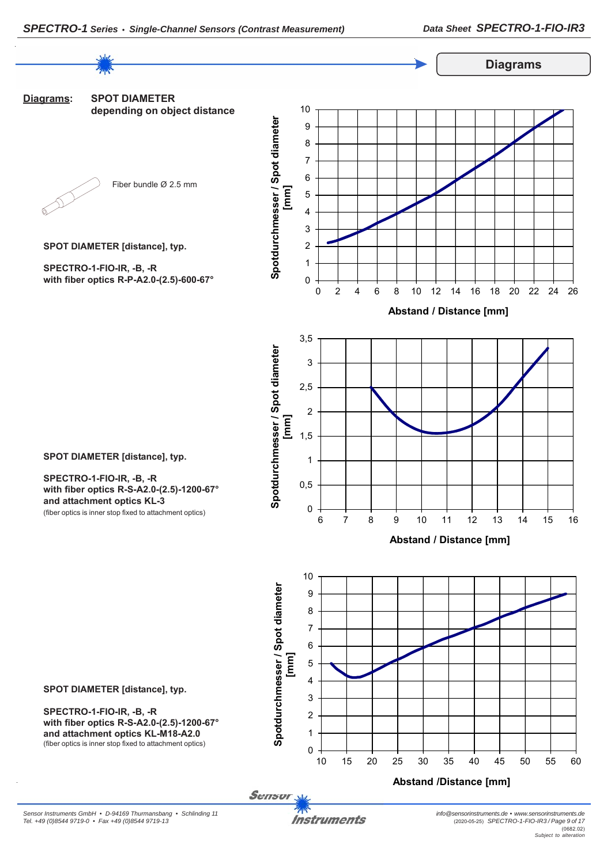

*Sensor Instruments GmbH • D-94169 Thurmansbang • Schlinding 11*

*Tel. +49 (0)8544 9719-0 • Fax +49 (0)8544 9719-13*

*Instruments*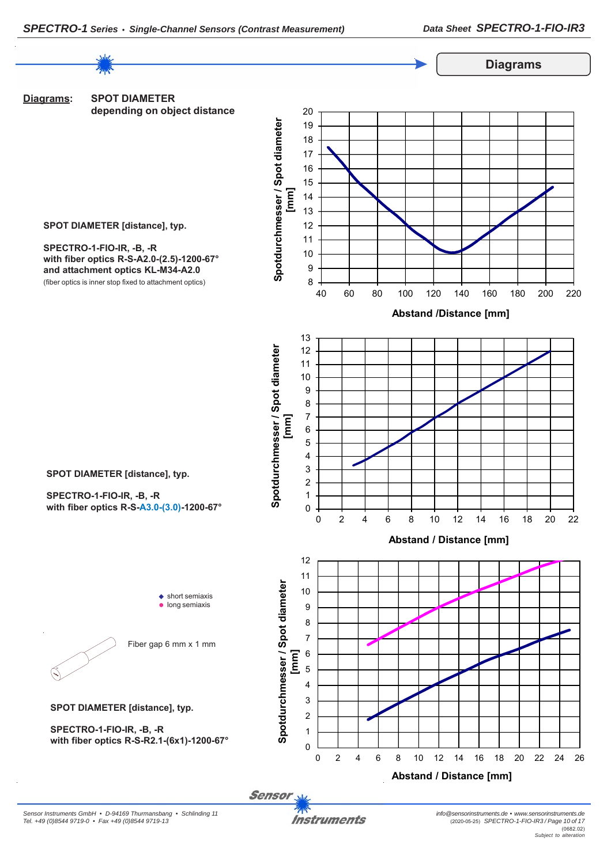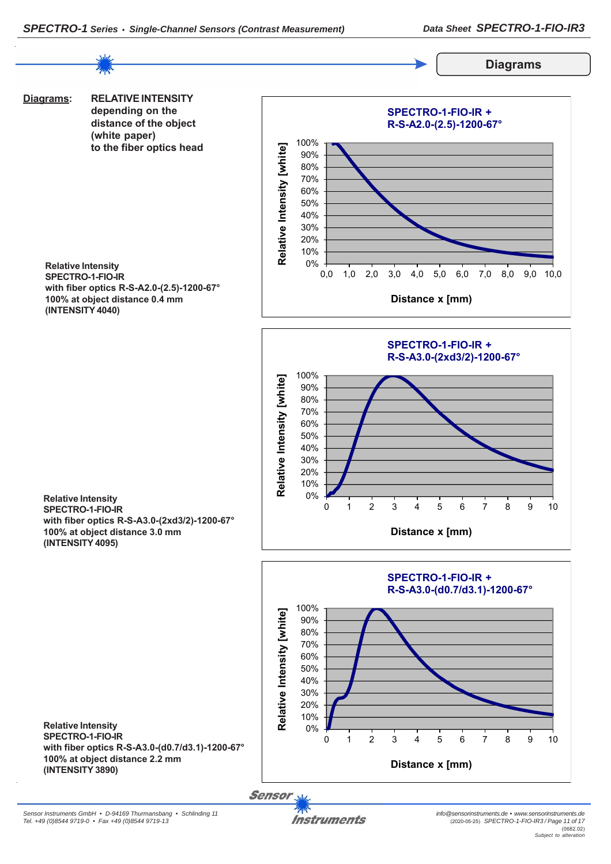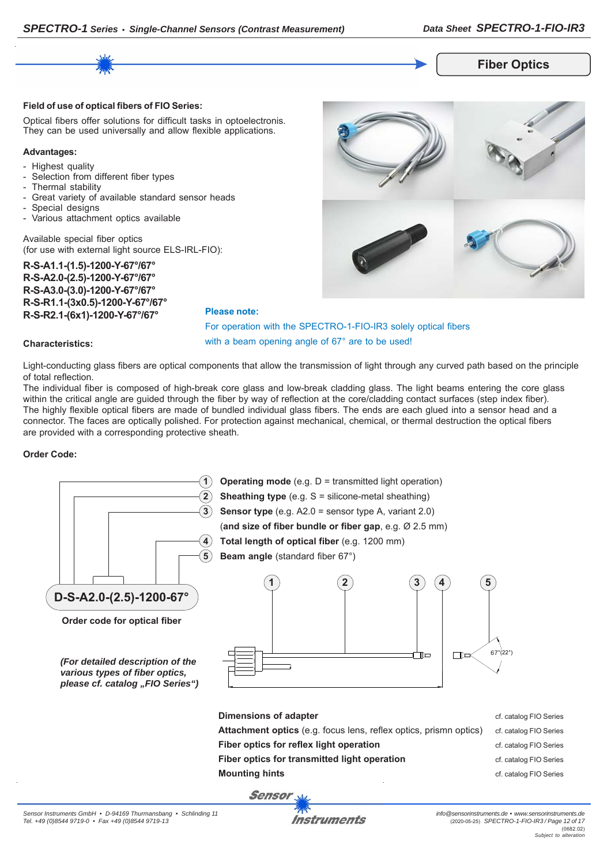

#### **Field of use of optical fibers of FIO Series:**

Optical fibers offer solutions for difficult tasks in optoelectronis. They can be used universally and allow flexible applications.

#### **Advantages:**

- Highest quality
- Selection from different fiber types
- Thermal stability
- Great variety of available standard sensor heads
- Special designs
- Various attachment optics available

Available special fiber optics (for use with external light source ELS-IRL-FIO):

**R-S-A1.1-(1.5)-1200-Y-67°/67° R-S-A2.0-(2.5)-1200-Y-67°/67° R-S-A3.0-(3.0)-1200-Y-67°/67° R-S-R1.1-(3x0.5)-1200-Y-67°/67° R-S-R2.1-(6x1)-1200-Y-67°/67°**



## For operation with the SPECTRO-1-FIO-IR3 solely optical fibers with a beam opening angle of 67° are to be used!

### **Characteristics:**

Light-conducting glass fibers are optical components that allow the transmission of light through any curved path based on the principle of total reflection.

The individual fiber is composed of high-break core glass and low-break cladding glass. The light beams entering the core glass within the critical angle are guided through the fiber by way of reflection at the core/cladding contact surfaces (step index fiber). The highly flexible optical fibers are made of bundled individual glass fibers. The ends are each glued into a sensor head and a connector. The faces are optically polished. For protection against mechanical, chemical, or thermal destruction the optical fibers are provided with a corresponding protective sheath.

**Please note:**

### **Order Code:**

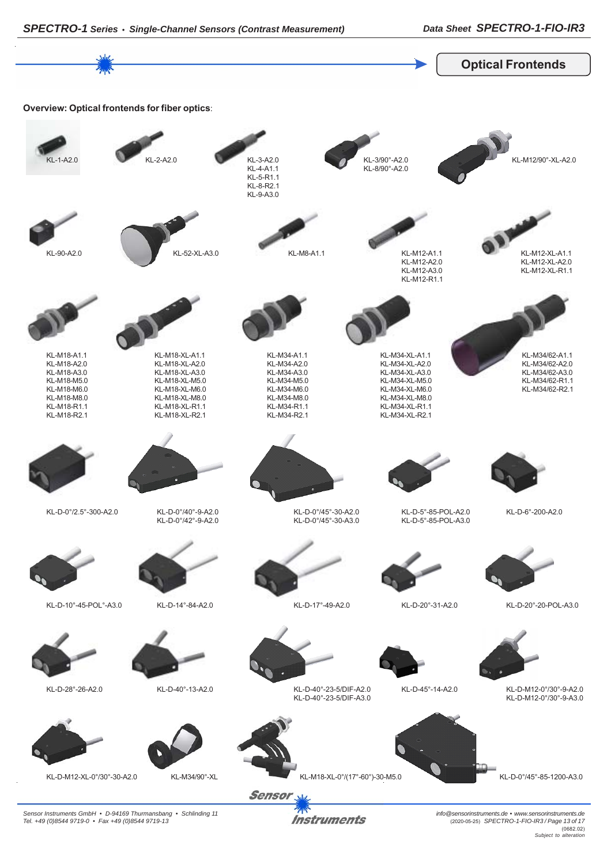

*Instruments* 

*Sensor Instruments GmbH • D-94169 Thurmansbang • Schlinding 11 Tel. +49 (0)8544 9719-0 • Fax +49 (0)8544 9719-13*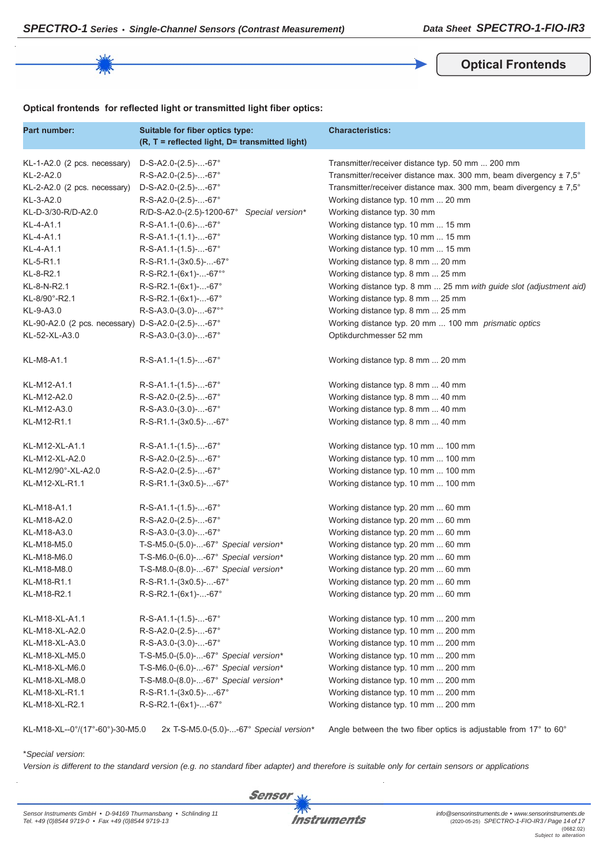**Optical Frontends**

## **Optical frontends for reflected light or transmitted light fiber optics:**

| Part number:                                      | Suitable for fiber optics type:<br>(R, T = reflected light, D= transmitted light) | <b>Characteristics:</b>                                                      |
|---------------------------------------------------|-----------------------------------------------------------------------------------|------------------------------------------------------------------------------|
| KL-1-A2.0 (2 pcs. necessary)                      | $D-S-A2.0-(2.5)$ --67°                                                            | Transmitter/receiver distance typ. 50 mm  200 mm                             |
| KL-2-A2.0                                         | R-S-A2.0-(2.5)--67°                                                               | Transmitter/receiver distance max. 300 mm, beam divergency $\pm 7.5^{\circ}$ |
| KL-2-A2.0 (2 pcs. necessary)                      | $D-S-A2.0-(2.5)$ --67°                                                            | Transmitter/receiver distance max. 300 mm, beam divergency ± 7,5°            |
| KL-3-A2.0                                         | R-S-A2.0-(2.5)--67°                                                               | Working distance typ. 10 mm  20 mm                                           |
| KL-D-3/30-R/D-A2.0                                | R/D-S-A2.0-(2.5)-1200-67°<br>Special version*                                     | Working distance typ. 30 mm                                                  |
| KL-4-A1.1                                         | $R-S-A1.1-(0.6)$ --67°                                                            | Working distance typ. 10 mm  15 mm                                           |
| KL-4-A1.1                                         | $R-S-A1.1-(1.1)$ --67°                                                            | Working distance typ. 10 mm  15 mm                                           |
| KL-4-A1.1                                         | $R-S-A1.1-(1.5)$ --67°                                                            | Working distance typ. 10 mm  15 mm                                           |
| KL-5-R1.1                                         | R-S-R1.1-(3x0.5)--67°                                                             | Working distance typ. 8 mm  20 mm                                            |
| KL-8-R2.1                                         | R-S-R2.1-(6x1)--67°°                                                              | Working distance typ. 8 mm  25 mm                                            |
| KL-8-N-R2.1                                       | $R-S-R2.1-(6x1)$ --67°                                                            | Working distance typ. 8 mm  25 mm with guide slot (adjustment aid)           |
| KL-8/90°-R2.1                                     | R-S-R2.1-(6x1)--67°                                                               | Working distance typ. 8 mm  25 mm                                            |
| KL-9-A3.0                                         | $R-S-A3.0-(3.0)$ --67°°                                                           | Working distance typ. 8 mm  25 mm                                            |
| KL-90-A2.0 (2 pcs. necessary) D-S-A2.0-(2.5)--67° |                                                                                   | Working distance typ. 20 mm  100 mm prismatic optics                         |
| KL-52-XL-A3.0                                     | $R-S-A3.0-(3.0)$ --67°                                                            | Optikdurchmesser 52 mm                                                       |
| KL-M8-A1.1                                        | $R-S-A1.1-(1.5)--67°$                                                             | Working distance typ. 8 mm  20 mm                                            |
| KL-M12-A1.1                                       | $R-S-A1.1-(1.5)$ --67°                                                            | Working distance typ. 8 mm  40 mm                                            |
| KL-M12-A2.0                                       | R-S-A2.0-(2.5)--67°                                                               | Working distance typ. 8 mm  40 mm                                            |
| KL-M12-A3.0                                       | $R-S-A3.0-(3.0)$ --67°                                                            | Working distance typ. 8 mm  40 mm                                            |
| KL-M12-R1.1                                       | R-S-R1.1-(3x0.5)--67°                                                             | Working distance typ. 8 mm  40 mm                                            |
| KL-M12-XL-A1.1                                    | $R-S-A1.1-(1.5)$ --67°                                                            | Working distance typ. 10 mm  100 mm                                          |
| KL-M12-XL-A2.0                                    | R-S-A2.0-(2.5)--67°                                                               | Working distance typ. 10 mm  100 mm                                          |
| KL-M12/90°-XL-A2.0                                | R-S-A2.0-(2.5)--67°                                                               | Working distance typ. 10 mm  100 mm                                          |
| KL-M12-XL-R1.1                                    | R-S-R1.1-(3x0.5)--67°                                                             | Working distance typ. 10 mm  100 mm                                          |
| KL-M18-A1.1                                       | $R-S-A1.1-(1.5)$ --67°                                                            | Working distance typ. 20 mm  60 mm                                           |
| KL-M18-A2.0                                       | R-S-A2.0-(2.5)--67°                                                               | Working distance typ. 20 mm  60 mm                                           |
| KL-M18-A3.0                                       | R-S-A3.0-(3.0)--67°                                                               | Working distance typ. 20 mm  60 mm                                           |
| KL-M18-M5.0                                       | T-S-M5.0-(5.0)--67° Special version*                                              | Working distance typ. 20 mm  60 mm                                           |
| KL-M18-M6.0                                       | T-S-M6.0-(6.0)--67° Special version*                                              | Working distance typ. 20 mm  60 mm                                           |
| KL-M18-M8.0                                       | T-S-M8.0-(8.0)--67° Special version*                                              | Working distance typ. 20 mm  60 mm                                           |
| KL-M18-R1.1                                       | R-S-R1.1-(3x0.5)--67°                                                             | Working distance typ. 20 mm  60 mm                                           |
| KL-M18-R2.1                                       | R-S-R2.1-(6x1)--67°                                                               | Working distance typ. 20 mm  60 mm                                           |
| KL-M18-XL-A1.1                                    | $R-S-A1.1-(1.5)$ --67°                                                            | Working distance typ. 10 mm  200 mm                                          |
| KL-M18-XL-A2.0                                    | R-S-A2.0-(2.5)--67°                                                               | Working distance typ. 10 mm  200 mm                                          |
| KL-M18-XL-A3.0                                    | R-S-A3.0-(3.0)--67°                                                               | Working distance typ. 10 mm  200 mm                                          |
| KL-M18-XL-M5.0                                    | T-S-M5.0-(5.0)--67° Special version*                                              | Working distance typ. 10 mm  200 mm                                          |
| KL-M18-XL-M6.0                                    | T-S-M6.0-(6.0)--67° Special version*                                              | Working distance typ. 10 mm  200 mm                                          |
| KL-M18-XL-M8.0                                    | T-S-M8.0-(8.0)--67° Special version*                                              | Working distance typ. 10 mm  200 mm                                          |
| KL-M18-XL-R1.1                                    | R-S-R1.1-(3x0.5)--67°                                                             | Working distance typ. 10 mm  200 mm                                          |
| KL-M18-XL-R2.1                                    | R-S-R2.1-(6x1)--67°                                                               | Working distance typ. 10 mm  200 mm                                          |

KL-M18-XL--0°/(17°-60°)-30-M5.0 2x T-S-M5.0-(5.0)-...-67° *Special version\** Angle between the two fiber optics is adjustable from 17° to 60°

### \**Special version*:

*Version is different to the standard version (e.g. no standard fiber adapter) and therefore is suitable only for certain sensors or applications*

**Sensor**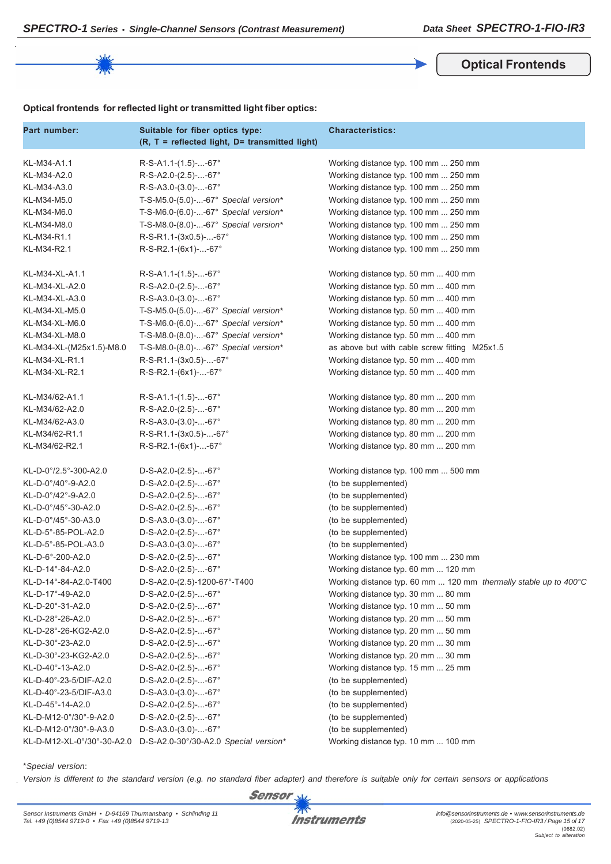**Optical Frontends**

## **Optical frontends for reflected light or transmitted light fiber optics:**

| Part number:               | Suitable for fiber optics type:<br>(R, T = reflected light, D= transmitted light) | <b>Characteristics:</b>                                          |
|----------------------------|-----------------------------------------------------------------------------------|------------------------------------------------------------------|
| KL-M34-A1.1                | $R-S-A1.1-(1.5)--67°$                                                             | Working distance typ. 100 mm  250 mm                             |
| KL-M34-A2.0                | R-S-A2.0-(2.5)--67°                                                               | Working distance typ. 100 mm  250 mm                             |
| KL-M34-A3.0                | $R-S-A3.0-(3.0)$ --67°                                                            | Working distance typ. 100 mm  250 mm                             |
| KL-M34-M5.0                | T-S-M5.0-(5.0)--67° Special version*                                              | Working distance typ. 100 mm  250 mm                             |
| KL-M34-M6.0                | T-S-M6.0-(6.0)--67° Special version*                                              | Working distance typ. 100 mm  250 mm                             |
| KL-M34-M8.0                | T-S-M8.0-(8.0)--67° Special version*                                              | Working distance typ. 100 mm  250 mm                             |
| KL-M34-R1.1                | R-S-R1.1-(3x0.5)--67°                                                             | Working distance typ. 100 mm  250 mm                             |
| KL-M34-R2.1                | R-S-R2.1-(6x1)--67°                                                               | Working distance typ. 100 mm  250 mm                             |
| KL-M34-XL-A1.1             | $R-S-A1.1-(1.5)$ --67°                                                            | Working distance typ. 50 mm  400 mm                              |
| KL-M34-XL-A2.0             | R-S-A2.0-(2.5)--67°                                                               | Working distance typ. 50 mm  400 mm                              |
| KL-M34-XL-A3.0             | $R-S-A3.0-(3.0)$ --67°                                                            | Working distance typ. 50 mm  400 mm                              |
| KL-M34-XL-M5.0             | T-S-M5.0-(5.0)--67° Special version*                                              | Working distance typ. 50 mm  400 mm                              |
| KL-M34-XL-M6.0             | T-S-M6.0-(6.0)--67° Special version*                                              | Working distance typ. 50 mm  400 mm                              |
| KL-M34-XL-M8.0             | T-S-M8.0-(8.0)--67° Special version*                                              | Working distance typ. 50 mm  400 mm                              |
| KL-M34-XL-(M25x1.5)-M8.0   | T-S-M8.0-(8.0)--67° Special version*                                              | as above but with cable screw fitting M25x1.5                    |
| KL-M34-XL-R1.1             | R-S-R1.1-(3x0.5)--67°                                                             | Working distance typ. 50 mm  400 mm                              |
| KL-M34-XL-R2.1             | R-S-R2.1-(6x1)--67°                                                               | Working distance typ. 50 mm  400 mm                              |
| KL-M34/62-A1.1             | R-S-A1.1-(1.5)--67°                                                               | Working distance typ. 80 mm  200 mm                              |
| KL-M34/62-A2.0             | R-S-A2.0-(2.5)--67°                                                               | Working distance typ. 80 mm  200 mm                              |
| KL-M34/62-A3.0             | $R-S-A3.0-(3.0)$ --67°                                                            | Working distance typ. 80 mm  200 mm                              |
| KL-M34/62-R1.1             | R-S-R1.1-(3x0.5)--67°                                                             | Working distance typ. 80 mm  200 mm                              |
| KL-M34/62-R2.1             | $R-S-R2.1-(6x1)-67°$                                                              | Working distance typ. 80 mm  200 mm                              |
| KL-D-0°/2.5°-300-A2.0      | $D-S-A2.0-(2.5)$ --67°                                                            | Working distance typ. 100 mm  500 mm                             |
| KL-D-0°/40°-9-A2.0         | $D-S-A2.0-(2.5)$ --67°                                                            | (to be supplemented)                                             |
| KL-D-0°/42°-9-A2.0         | $D-S-A2.0-(2.5)$ --67°                                                            | (to be supplemented)                                             |
| KL-D-0°/45°-30-A2.0        | $D-S-A2.0-(2.5)$ --67°                                                            | (to be supplemented)                                             |
| KL-D-0°/45°-30-A3.0        | $D-S-A3.0-(3.0)$ --67°                                                            | (to be supplemented)                                             |
| KL-D-5°-85-POL-A2.0        | $D-S-A2.0-(2.5)$ --67°                                                            | (to be supplemented)                                             |
| KL-D-5°-85-POL-A3.0        | $D-S-A3.0-(3.0)$ --67°                                                            | (to be supplemented)                                             |
| KL-D-6°-200-A2.0           | $D-S-A2.0-(2.5)$ --67°                                                            | Working distance typ. 100 mm  230 mm                             |
| KL-D-14°-84-A2.0           | $D-S-A2.0-(2.5)$ --67°                                                            | Working distance typ. 60 mm  120 mm                              |
| KL-D-14°-84-A2.0-T400      | D-S-A2.0-(2.5)-1200-67°-T400                                                      | Working distance typ. 60 mm  120 mm thermally stable up to 400°C |
| KL-D-17°-49-A2.0           | $D-S-A2.0-(2.5)$ --67°                                                            | Working distance typ. 30 mm  80 mm                               |
| KL-D-20°-31-A2.0           | $D-S-A2.0-(2.5)$ --67°                                                            | Working distance typ. 10 mm  50 mm                               |
| KL-D-28°-26-A2.0           | D-S-A2.0-(2.5)--67°                                                               | Working distance typ. 20 mm  50 mm                               |
| KL-D-28°-26-KG2-A2.0       | $D-S-A2.0-(2.5)$ --67°                                                            | Working distance typ. 20 mm  50 mm                               |
| KL-D-30°-23-A2.0           | $D-S-A2.0-(2.5)$ --67°                                                            | Working distance typ. 20 mm  30 mm                               |
| KL-D-30°-23-KG2-A2.0       | $D-S-A2.0-(2.5)$ --67°                                                            | Working distance typ. 20 mm  30 mm                               |
| KL-D-40°-13-A2.0           | $D-S-A2.0-(2.5)$ --67°                                                            | Working distance typ. 15 mm  25 mm                               |
| KL-D-40°-23-5/DIF-A2.0     | D-S-A2.0-(2.5)--67°                                                               | (to be supplemented)                                             |
| KL-D-40°-23-5/DIF-A3.0     | D-S-A3.0-(3.0)--67°                                                               | (to be supplemented)                                             |
| KL-D-45°-14-A2.0           | D-S-A2.0-(2.5)--67°                                                               | (to be supplemented)                                             |
| KL-D-M12-0°/30°-9-A2.0     | D-S-A2.0-(2.5)--67°                                                               | (to be supplemented)                                             |
| KL-D-M12-0°/30°-9-A3.0     | $D-S-A3.0-(3.0)$ --67°                                                            | (to be supplemented)                                             |
| KL-D-M12-XL-0°/30°-30-A2.0 | D-S-A2.0-30°/30-A2.0 Special version*                                             | Working distance typ. 10 mm  100 mm                              |

\**Special version*:

*Version is different to the standard version (e.g. no standard fiber adapter) and therefore is suitable only for certain sensors or applications*

**Sensor** 



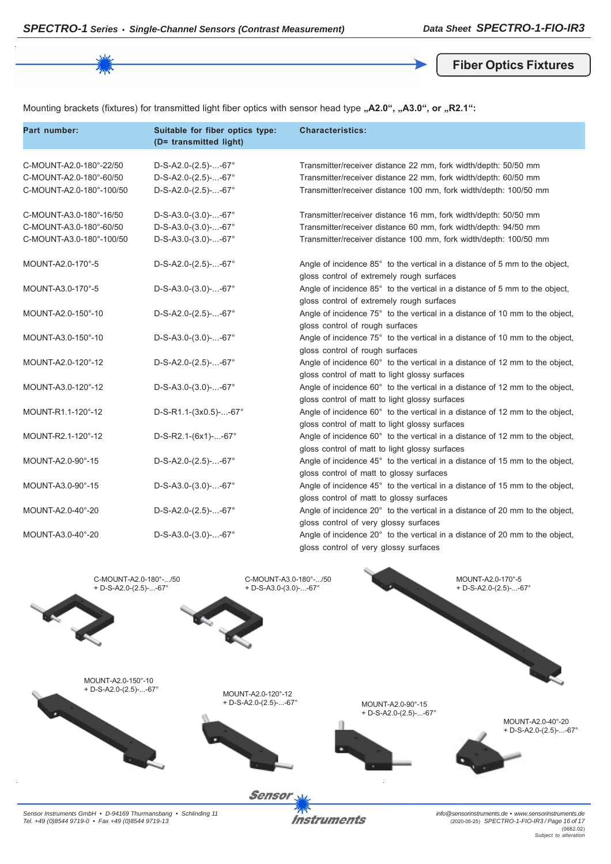**Fiber Optics Fixtures**

Mounting brackets (fixtures) for transmitted light fiber optics with sensor head type "A2.0", "A3.0", or "R2.1":

| Part number:                                                                   | Suitable for fiber optics type:<br>(D= transmitted light)                  | <b>Characteristics:</b>                                                                                                                                                                                 |
|--------------------------------------------------------------------------------|----------------------------------------------------------------------------|---------------------------------------------------------------------------------------------------------------------------------------------------------------------------------------------------------|
| C-MOUNT-A2.0-180°-22/50<br>C-MOUNT-A2.0-180°-60/50<br>C-MOUNT-A2.0-180°-100/50 | $D-S-A2.0-(2.5)$ --67°<br>$D-S-A2.0-(2.5)$ --67°<br>$D-S-A2.0-(2.5)$ --67° | Transmitter/receiver distance 22 mm, fork width/depth: 50/50 mm<br>Transmitter/receiver distance 22 mm, fork width/depth: 60/50 mm<br>Transmitter/receiver distance 100 mm, fork width/depth: 100/50 mm |
| C-MOUNT-A3.0-180°-16/50<br>C-MOUNT-A3.0-180°-60/50<br>C-MOUNT-A3.0-180°-100/50 | $D-S-A3.0-(3.0)$ --67°<br>$D-S-A3.0-(3.0)$ --67°<br>$D-S-A3.0-(3.0)$ --67° | Transmitter/receiver distance 16 mm, fork width/depth: 50/50 mm<br>Transmitter/receiver distance 60 mm, fork width/depth: 94/50 mm<br>Transmitter/receiver distance 100 mm, fork width/depth: 100/50 mm |
| MOUNT-A2.0-170°-5                                                              | $D-S-A2.0-(2.5)$ --67°                                                     | Angle of incidence 85° to the vertical in a distance of 5 mm to the object,<br>gloss control of extremely rough surfaces                                                                                |
| MOUNT-A3.0-170°-5                                                              | $D-S-A3.0-(3.0)$ --67°                                                     | Angle of incidence 85° to the vertical in a distance of 5 mm to the object,<br>gloss control of extremely rough surfaces                                                                                |
| MOUNT-A2.0-150°-10                                                             | $D-S-A2.0-(2.5)$ --67°                                                     | Angle of incidence 75° to the vertical in a distance of 10 mm to the object,<br>gloss control of rough surfaces                                                                                         |
| MOUNT-A3.0-150°-10                                                             | D-S-A3.0-(3.0)--67°                                                        | Angle of incidence 75° to the vertical in a distance of 10 mm to the object,<br>gloss control of rough surfaces                                                                                         |
| MOUNT-A2.0-120°-12                                                             | $D-S-A2.0-(2.5)$ --67°                                                     | Angle of incidence 60° to the vertical in a distance of 12 mm to the object,<br>gloss control of matt to light glossy surfaces                                                                          |
| MOUNT-A3.0-120°-12                                                             | $D-S-A3.0-(3.0)$ --67°                                                     | Angle of incidence 60° to the vertical in a distance of 12 mm to the object,<br>gloss control of matt to light glossy surfaces                                                                          |
| MOUNT-R1.1-120°-12                                                             | $D-S-R1.1-(3x0.5)$ --67°                                                   | Angle of incidence 60° to the vertical in a distance of 12 mm to the object,<br>gloss control of matt to light glossy surfaces                                                                          |
| MOUNT-R2.1-120°-12                                                             | $D-S-R2.1-(6x1)$ --67°                                                     | Angle of incidence 60° to the vertical in a distance of 12 mm to the object,<br>gloss control of matt to light glossy surfaces                                                                          |
| MOUNT-A2.0-90°-15                                                              | $D-S-A2.0-(2.5)$ --67°                                                     | Angle of incidence 45° to the vertical in a distance of 15 mm to the object,<br>gloss control of matt to glossy surfaces                                                                                |
| MOUNT-A3.0-90°-15                                                              | $D-S-A3.0-(3.0)$ --67°                                                     | Angle of incidence 45° to the vertical in a distance of 15 mm to the object,<br>gloss control of matt to glossy surfaces                                                                                |
| MOUNT-A2.0-40°-20                                                              | $D-S-A2.0-(2.5)$ --67°                                                     | Angle of incidence 20° to the vertical in a distance of 20 mm to the object,<br>gloss control of very glossy surfaces                                                                                   |
| MOUNT-A3.0-40°-20                                                              | $D-S-A3.0-(3.0)$ --67°                                                     | Angle of incidence 20° to the vertical in a distance of 20 mm to the object,<br>gloss control of very glossy surfaces                                                                                   |



*Sensor Instruments GmbH • D-94169 Thurmansbang • Schlinding 11 Tel. +49 (0)8544 9719-0 • Fax +49 (0)8544 9719-13*

**Instruments** 

*info@sensorinstruments.de • www.sensorinstruments.de* (2020-05-25) *SPECTRO-1-FIO-IR3 / Page 16 of 17* (0682.02) *Subject to alteration*